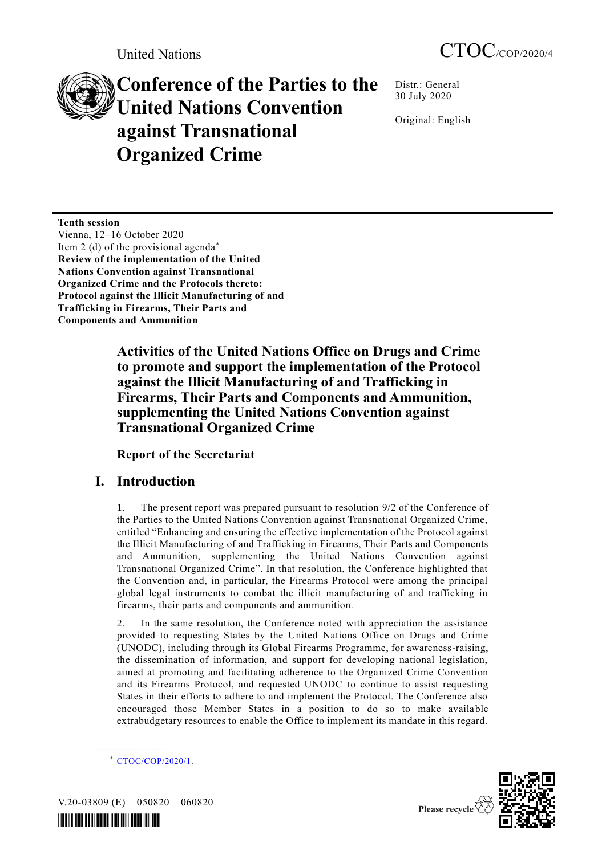# **Conference of the Parties to the United Nations Convention against Transnational Organized Crime**

Distr.: General 30 July 2020

Original: English

**Tenth session** Vienna, 12–16 October 2020 Item 2 (d) of the provisional agenda<sup>\*</sup> **Review of the implementation of the United Nations Convention against Transnational Organized Crime and the Protocols thereto: Protocol against the Illicit Manufacturing of and Trafficking in Firearms, Their Parts and Components and Ammunition**

> **Activities of the United Nations Office on Drugs and Crime to promote and support the implementation of the Protocol against the Illicit Manufacturing of and Trafficking in Firearms, Their Parts and Components and Ammunition, supplementing the United Nations Convention against Transnational Organized Crime**

**Report of the Secretariat**

# **I. Introduction**

1. The present report was prepared pursuant to resolution 9/2 of the Conference of the Parties to the United Nations Convention against Transnational Organized Crime, entitled "Enhancing and ensuring the effective implementation of the Protocol against the Illicit Manufacturing of and Trafficking in Firearms, Their Parts and Components and Ammunition, supplementing the United Nations Convention against Transnational Organized Crime". In that resolution, the Conference highlighted that the Convention and, in particular, the Firearms Protocol were among the principal global legal instruments to combat the illicit manufacturing of and trafficking in firearms, their parts and components and ammunition.

2. In the same resolution, the Conference noted with appreciation the assistance provided to requesting States by the United Nations Office on Drugs and Crime (UNODC), including through its Global Firearms Programme, for awareness-raising, the dissemination of information, and support for developing national legislation, aimed at promoting and facilitating adherence to the Organized Crime Convention and its Firearms Protocol, and requested UNODC to continue to assist requesting States in their efforts to adhere to and implement the Protocol. The Conference also encouraged those Member States in a position to do so to make available extrabudgetary resources to enable the Office to implement its mandate in this regard.

\* [CTOC/COP/2020/1.](http://undocs.org/CTOC/COP/2020/1)

V.20-03809 (E) 050820 060820

**\_\_\_\_\_\_\_\_\_\_\_\_\_\_\_\_\_\_**



Please recycle  $\overline{\mathcal{C}}$ 

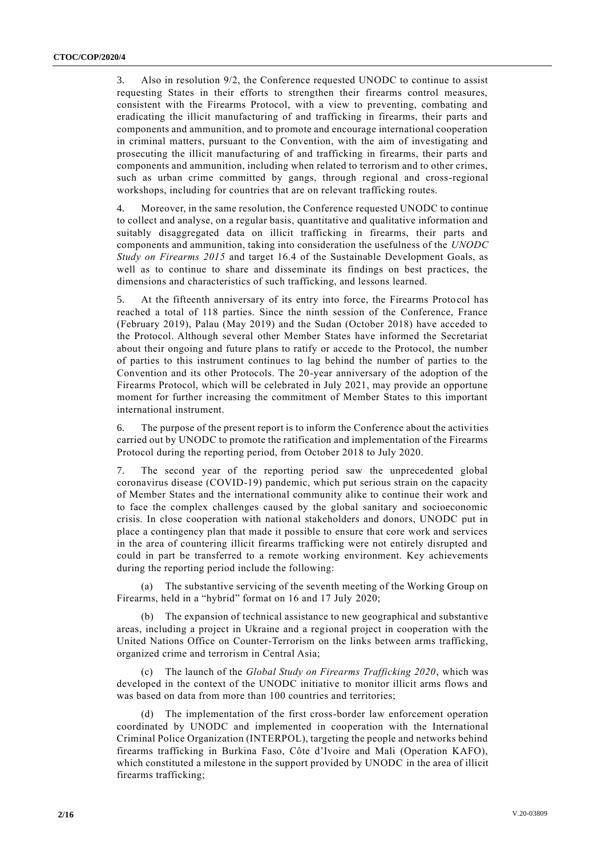3. Also in resolution 9/2, the Conference requested UNODC to continue to assist requesting States in their efforts to strengthen their firearms control measures, consistent with the Firearms Protocol, with a view to preventing, combating and eradicating the illicit manufacturing of and trafficking in firearms, their parts and components and ammunition, and to promote and encourage international cooperation in criminal matters, pursuant to the Convention, with the aim of investigating and prosecuting the illicit manufacturing of and trafficking in firearms, their parts and components and ammunition, including when related to terrorism and to other crimes, such as urban crime committed by gangs, through regional and cross-regional workshops, including for countries that are on relevant trafficking routes.

4. Moreover, in the same resolution, the Conference requested UNODC to continue to collect and analyse, on a regular basis, quantitative and qualitative information and suitably disaggregated data on illicit trafficking in firearms, their parts and components and ammunition, taking into consideration the usefulness of the *UNODC Study on Firearms 2015* and target 16.4 of the Sustainable Development Goals, as well as to continue to share and disseminate its findings on best practices, the dimensions and characteristics of such trafficking, and lessons learned.

5. At the fifteenth anniversary of its entry into force, the Firearms Proto col has reached a total of 118 parties. Since the ninth session of the Conference, France (February 2019), Palau (May 2019) and the Sudan (October 2018) have acceded to the Protocol. Although several other Member States have informed the Secretariat about their ongoing and future plans to ratify or accede to the Protocol, the number of parties to this instrument continues to lag behind the number of parties to the Convention and its other Protocols. The 20-year anniversary of the adoption of the Firearms Protocol, which will be celebrated in July 2021, may provide an opportune moment for further increasing the commitment of Member States to this important international instrument.

6. The purpose of the present report is to inform the Conference about the activities carried out by UNODC to promote the ratification and implementation of the Firearms Protocol during the reporting period, from October 2018 to July 2020.

7. The second year of the reporting period saw the unprecedented global coronavirus disease (COVID-19) pandemic, which put serious strain on the capacity of Member States and the international community alike to continue their work and to face the complex challenges caused by the global sanitary and socioeconomic crisis. In close cooperation with national stakeholders and donors, UNODC put in place a contingency plan that made it possible to ensure that core work and services in the area of countering illicit firearms trafficking were not entirely disrupted and could in part be transferred to a remote working environment. Key achievements during the reporting period include the following:

(a) The substantive servicing of the seventh meeting of the Working Group on Firearms, held in a "hybrid" format on 16 and 17 July 2020;

(b) The expansion of technical assistance to new geographical and substantive areas, including a project in Ukraine and a regional project in cooperation with the United Nations Office on Counter-Terrorism on the links between arms trafficking, organized crime and terrorism in Central Asia;

The launch of the *Global Study on Firearms Trafficking 2020*, which was developed in the context of the UNODC initiative to monitor illicit arms flows and was based on data from more than 100 countries and territories;

(d) The implementation of the first cross-border law enforcement operation coordinated by UNODC and implemented in cooperation with the International Criminal Police Organization (INTERPOL), targeting the people and networks behind firearms trafficking in Burkina Faso, Côte d'Ivoire and Mali (Operation KAFO), which constituted a milestone in the support provided by UNODC in the area of illicit firearms trafficking;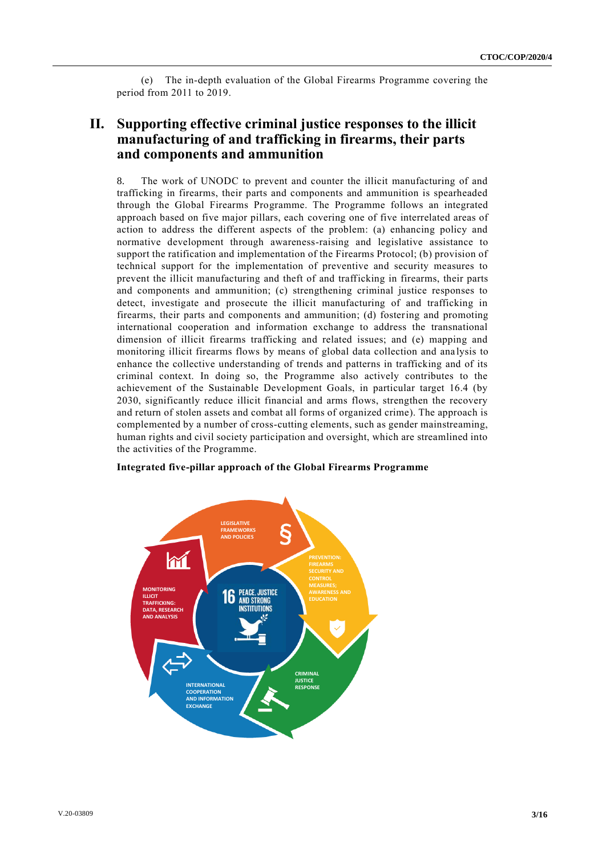(e) The in-depth evaluation of the Global Firearms Programme covering the period from 2011 to 2019.

# **II. Supporting effective criminal justice responses to the illicit manufacturing of and trafficking in firearms, their parts and components and ammunition**

8. The work of UNODC to prevent and counter the illicit manufacturing of and trafficking in firearms, their parts and components and ammunition is spearheaded through the Global Firearms Programme. The Programme follows an integrated approach based on five major pillars, each covering one of five interrelated areas of action to address the different aspects of the problem: (a) enhancing policy and normative development through awareness-raising and legislative assistance to support the ratification and implementation of the Firearms Protocol; (b) provision of technical support for the implementation of preventive and security measures to prevent the illicit manufacturing and theft of and trafficking in firearms, their parts and components and ammunition; (c) strengthening criminal justice responses to detect, investigate and prosecute the illicit manufacturing of and trafficking in firearms, their parts and components and ammunition; (d) fostering and promoting international cooperation and information exchange to address the transnational dimension of illicit firearms trafficking and related issues; and (e) mapping and monitoring illicit firearms flows by means of global data collection and ana lysis to enhance the collective understanding of trends and patterns in trafficking and of its criminal context. In doing so, the Programme also actively contributes to the achievement of the Sustainable Development Goals, in particular target 16.4 (by 2030, significantly reduce illicit financial and arms flows, strengthen the recovery and return of stolen assets and combat all forms of organized crime). The approach is complemented by a number of cross-cutting elements, such as gender mainstreaming, human rights and civil society participation and oversight, which are streamlined into the activities of the Programme.

## **Integrated five-pillar approach of the Global Firearms Programme**

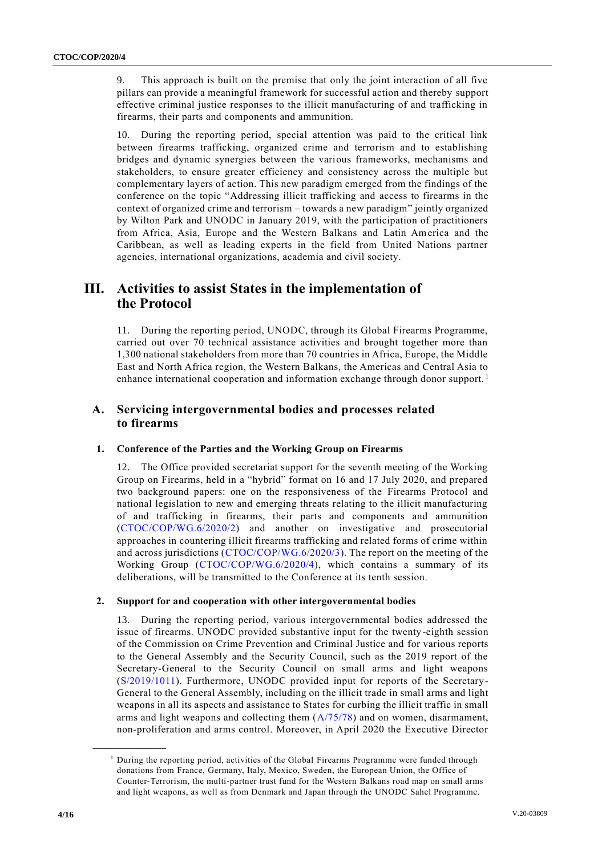9. This approach is built on the premise that only the joint interaction of all five pillars can provide a meaningful framework for successful action and thereby support effective criminal justice responses to the illicit manufacturing of and trafficking in firearms, their parts and components and ammunition.

10. During the reporting period, special attention was paid to the critical link between firearms trafficking, organized crime and terrorism and to establishing bridges and dynamic synergies between the various frameworks, mechanisms and stakeholders, to ensure greater efficiency and consistency across the multiple but complementary layers of action. This new paradigm emerged from the findings of the conference on the topic "Addressing illicit trafficking and access to firearms in the context of organized crime and terrorism – towards a new paradigm" jointly organized by Wilton Park and UNODC in January 2019, with the participation of practitioners from Africa, Asia, Europe and the Western Balkans and Latin America and the Caribbean, as well as leading experts in the field from United Nations partner agencies, international organizations, academia and civil society.

# **III. Activities to assist States in the implementation of the Protocol**

11. During the reporting period, UNODC, through its Global Firearms Programme, carried out over 70 technical assistance activities and brought together more than 1,300 national stakeholders from more than 70 countries in Africa, Europe, the Middle East and North Africa region, the Western Balkans, the Americas and Central Asia to enhance international cooperation and information exchange through donor support.<sup>1</sup>

# **A. Servicing intergovernmental bodies and processes related to firearms**

## **1. Conference of the Parties and the Working Group on Firearms**

12. The Office provided secretariat support for the seventh meeting of the Working Group on Firearms, held in a "hybrid" format on 16 and 17 July 2020, and prepared two background papers: one on the responsiveness of the Firearms Protocol and national legislation to new and emerging threats relating to the illicit manufacturing of and trafficking in firearms, their parts and components and ammunition [\(CTOC/COP/WG.6/2020/2\)](http://undocs.org/CTOC/COP/WG.6/2020/2) and another on investigative and prosecutorial approaches in countering illicit firearms trafficking and related forms of crime within and across jurisdictions [\(CTOC/COP/WG.6/2020/3\)](http://undocs.org/CTOC/COP/WG.6/2020/3). The report on the meeting of the Working Group [\(CTOC/COP/WG.6/2020/4\)](http://undocs.org/CTOC/COP/WG.6/2020/4), which contains a summary of its deliberations, will be transmitted to the Conference at its tenth session.

## **2. Support for and cooperation with other intergovernmental bodies**

13. During the reporting period, various intergovernmental bodies addressed the issue of firearms. UNODC provided substantive input for the twenty-eighth session of the Commission on Crime Prevention and Criminal Justice and for various reports to the General Assembly and the Security Council, such as the 2019 report of the Secretary-General to the Security Council on small arms and light weapons [\(S/2019/1011\)](https://www.securitycouncilreport.org/atf/cf/%7B65BFCF9B-6D27-4E9C-8CD3-CF6E4FF96FF9%7D/s_2019_1011.pdf). Furthermore, UNODC provided input for reports of the Secretary-General to the General Assembly, including on the illicit trade in small arms and light weapons in all its aspects and assistance to States for curbing the illicit traffic in small arms and light weapons and collecting them [\(A/75/78\)](http://undocs.org/A/75/78) and on women, disarmament, non-proliferation and arms control. Moreover, in April 2020 the Executive Director

**\_\_\_\_\_\_\_\_\_\_\_\_\_\_\_\_\_\_**

<sup>&</sup>lt;sup>1</sup> During the reporting period, activities of the Global Firearms Programme were funded through donations from France, Germany, Italy, Mexico, Sweden, the European Union, the Office of Counter-Terrorism, the multi-partner trust fund for the Western Balkans road map on small arms and light weapons, as well as from Denmark and Japan through the UNODC Sahel Programme.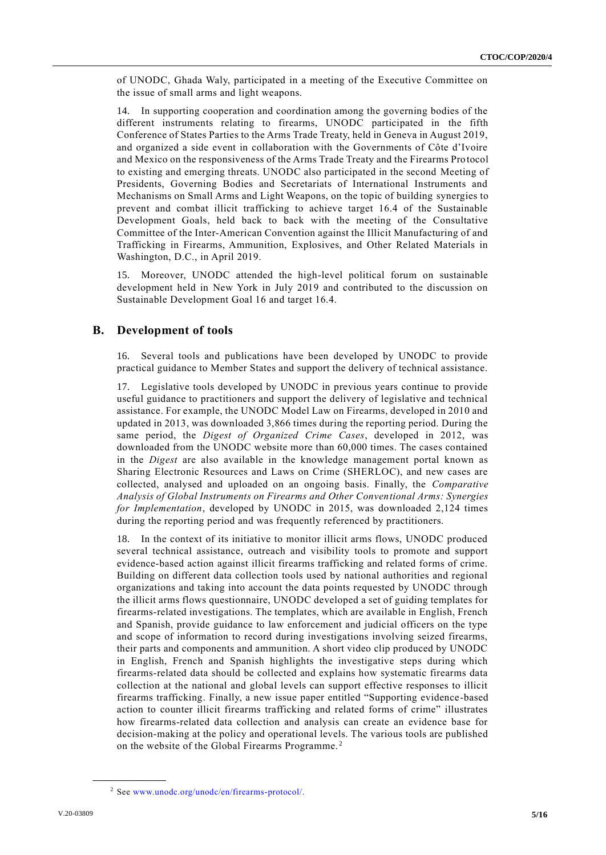of UNODC, Ghada Waly, participated in a meeting of the Executive Committee on the issue of small arms and light weapons.

14. In supporting cooperation and coordination among the governing bodies of the different instruments relating to firearms, UNODC participated in the fifth Conference of States Parties to the Arms Trade Treaty, held in Geneva in August 2019, and organized a side event in collaboration with the Governments of Côte d'Ivoire and Mexico on the responsiveness of the Arms Trade Treaty and the Firearms Protocol to existing and emerging threats. UNODC also participated in the second Meeting of Presidents, Governing Bodies and Secretariats of International Instruments and Mechanisms on Small Arms and Light Weapons, on the topic of building synergies to prevent and combat illicit trafficking to achieve target 16.4 of the Sustainable Development Goals, held back to back with the meeting of the Consultative Committee of the Inter-American Convention against the Illicit Manufacturing of and Trafficking in Firearms, Ammunition, Explosives, and Other Related Materials in Washington, D.C., in April 2019.

15. Moreover, UNODC attended the high-level political forum on sustainable development held in New York in July 2019 and contributed to the discussion on Sustainable Development Goal 16 and target 16.4.

## **B. Development of tools**

16. Several tools and publications have been developed by UNODC to provide practical guidance to Member States and support the delivery of technical assistance.

17. Legislative tools developed by UNODC in previous years continue to provide useful guidance to practitioners and support the delivery of legislative and technical assistance. For example, the UNODC Model Law on Firearms, developed in 2010 and updated in 2013, was downloaded 3,866 times during the reporting period. During the same period, the *Digest of Organized Crime Cases*, developed in 2012, was downloaded from the UNODC website more than 60,000 times. The cases contained in the *Digest* are also available in the knowledge management portal known as Sharing Electronic Resources and Laws on Crime (SHERLOC), and new cases are collected, analysed and uploaded on an ongoing basis. Finally, the *Comparative Analysis of Global Instruments on Firearms and Other Conventional Arms: Synergies for Implementation*, developed by UNODC in 2015, was downloaded 2,124 times during the reporting period and was frequently referenced by practitioners.

18. In the context of its initiative to monitor illicit arms flows, UNODC produced several technical assistance, outreach and visibility tools to promote and support evidence-based action against illicit firearms trafficking and related forms of crime. Building on different data collection tools used by national authorities and regional organizations and taking into account the data points requested by UNODC through the illicit arms flows questionnaire, UNODC developed a set of guiding templates for firearms-related investigations. The templates, which are available in English, French and Spanish, provide guidance to law enforcement and judicial officers on the type and scope of information to record during investigations involving seized firearms, their parts and components and ammunition. A short video clip produced by UNODC in English, French and Spanish highlights the investigative steps during which firearms-related data should be collected and explains how systematic firearms data collection at the national and global levels can support effective responses to illicit firearms trafficking. Finally, a new issue paper entitled "Supporting evidence-based action to counter illicit firearms trafficking and related forms of crime" illustrates how firearms-related data collection and analysis can create an evidence base for decision-making at the policy and operational levels. The various tools are published on the website of the Global Firearms Programme. <sup>2</sup>

**\_\_\_\_\_\_\_\_\_\_\_\_\_\_\_\_\_\_**

<sup>2</sup> See [www.unodc.org/unodc/en/firearms-protocol/.](http://www.unodc.org/unodc/en/firearms-protocol/)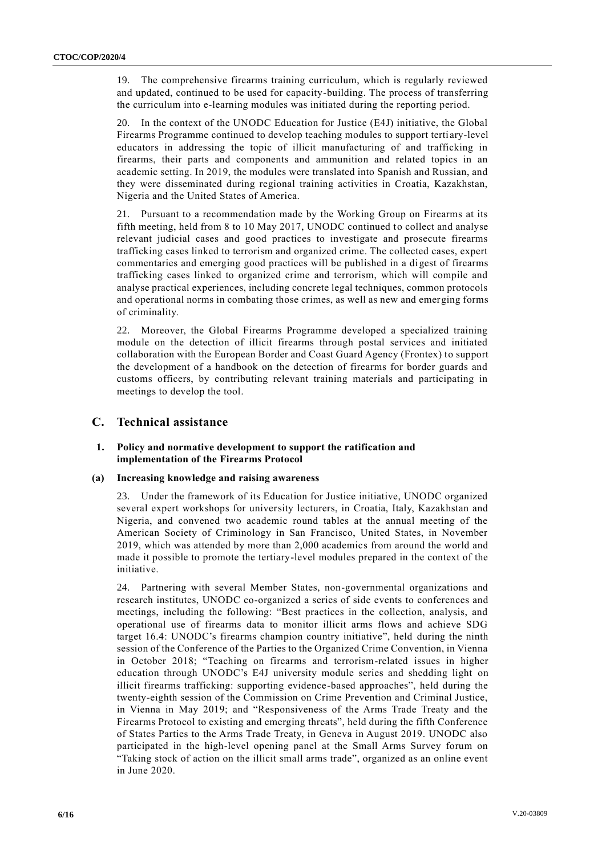19. The comprehensive firearms training curriculum, which is regularly reviewed and updated, continued to be used for capacity-building. The process of transferring the curriculum into e-learning modules was initiated during the reporting period.

20. In the context of the UNODC Education for Justice (E4J) initiative, the Global Firearms Programme continued to develop teaching modules to support terti ary-level educators in addressing the topic of illicit manufacturing of and trafficking in firearms, their parts and components and ammunition and related topics in an academic setting. In 2019, the modules were translated into Spanish and Russian, and they were disseminated during regional training activities in Croatia, Kazakhstan, Nigeria and the United States of America.

21. Pursuant to a recommendation made by the Working Group on Firearms at its fifth meeting, held from 8 to 10 May 2017, UNODC continued to collect and analyse relevant judicial cases and good practices to investigate and prosecute firearms trafficking cases linked to terrorism and organized crime. The collected cases, expert commentaries and emerging good practices will be published in a digest of firearms trafficking cases linked to organized crime and terrorism, which will compile and analyse practical experiences, including concrete legal techniques, common protocols and operational norms in combating those crimes, as well as new and emerging forms of criminality.

22. Moreover, the Global Firearms Programme developed a specialized training module on the detection of illicit firearms through postal services and initiated collaboration with the European Border and Coast Guard Agency (Frontex) to support the development of a handbook on the detection of firearms for border guards and customs officers, by contributing relevant training materials and participating in meetings to develop the tool.

# **C. Technical assistance**

#### **1. Policy and normative development to support the ratification and implementation of the Firearms Protocol**

## **(a) Increasing knowledge and raising awareness**

23. Under the framework of its Education for Justice initiative, UNODC organized several expert workshops for university lecturers, in Croatia, Italy, Kazakhstan and Nigeria, and convened two academic round tables at the annual meeting of the American Society of Criminology in San Francisco, United States, in November 2019, which was attended by more than 2,000 academics from around the world and made it possible to promote the tertiary-level modules prepared in the context of the initiative.

24. Partnering with several Member States, non-governmental organizations and research institutes, UNODC co-organized a series of side events to conferences and meetings, including the following: "Best practices in the collection, analysis, and operational use of firearms data to monitor illicit arms flows and achieve SDG target 16.4: UNODC's firearms champion country initiative", held during the ninth session of the Conference of the Parties to the Organized Crime Convention, in Vienna in October 2018; "Teaching on firearms and terrorism-related issues in higher education through UNODC's E4J university module series and shedding light on illicit firearms trafficking: supporting evidence-based approaches", held during the twenty-eighth session of the Commission on Crime Prevention and Criminal Justice, in Vienna in May 2019; and "Responsiveness of the Arms Trade Treaty and the Firearms Protocol to existing and emerging threats", held during the fifth Conference of States Parties to the Arms Trade Treaty, in Geneva in August 2019. UNODC also participated in the high-level opening panel at the Small Arms Survey forum on "Taking stock of action on the illicit small arms trade", organized as an online event in June 2020.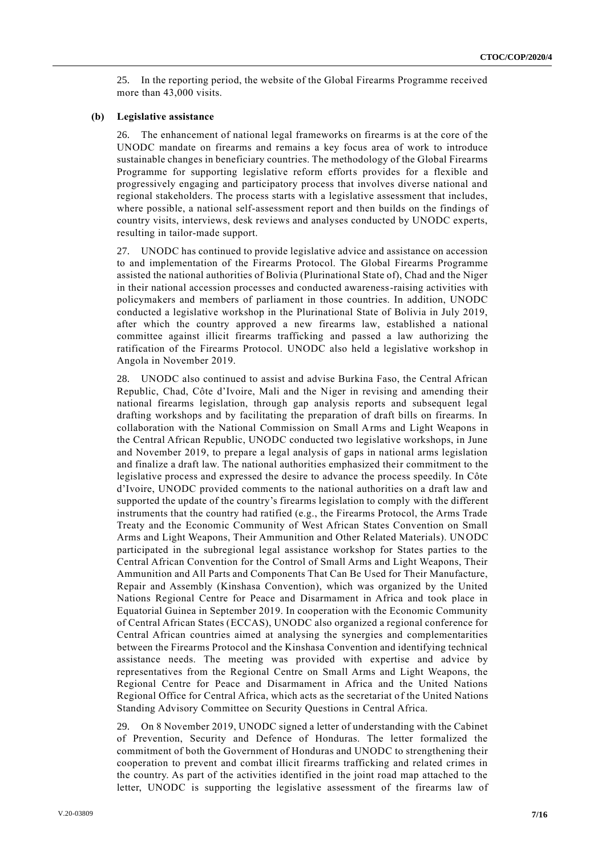25. In the reporting period, the website of the Global Firearms Programme received more than 43,000 visits.

#### **(b) Legislative assistance**

26. The enhancement of national legal frameworks on firearms is at the core of the UNODC mandate on firearms and remains a key focus area of work to introduce sustainable changes in beneficiary countries. The methodology of the Global Firearms Programme for supporting legislative reform efforts provides for a flexible and progressively engaging and participatory process that involves diverse national and regional stakeholders. The process starts with a legislative assessment that includes, where possible, a national self-assessment report and then builds on the findings of country visits, interviews, desk reviews and analyses conducted by UNODC experts, resulting in tailor-made support.

27. UNODC has continued to provide legislative advice and assistance on accession to and implementation of the Firearms Protocol. The Global Firearms Programme assisted the national authorities of Bolivia (Plurinational State of), Chad and the Niger in their national accession processes and conducted awareness-raising activities with policymakers and members of parliament in those countries. In addition, UNODC conducted a legislative workshop in the Plurinational State of Bolivia in July 2019, after which the country approved a new firearms law, established a national committee against illicit firearms trafficking and passed a law authorizing the ratification of the Firearms Protocol. UNODC also held a legislative workshop in Angola in November 2019.

28. UNODC also continued to assist and advise Burkina Faso, the Central African Republic, Chad, Côte d'Ivoire, Mali and the Niger in revising and amending their national firearms legislation, through gap analysis reports and subsequent legal drafting workshops and by facilitating the preparation of draft bills on firearms. In collaboration with the National Commission on Small Arms and Light Weapons in the Central African Republic, UNODC conducted two legislative workshops, in June and November 2019, to prepare a legal analysis of gaps in national arms legislation and finalize a draft law. The national authorities emphasized their commitment to the legislative process and expressed the desire to advance the process speedily. In Côte d'Ivoire, UNODC provided comments to the national authorities on a draft law and supported the update of the country's firearms legislation to comply with the different instruments that the country had ratified (e.g., the Firearms Protocol, the Arms Trade Treaty and the Economic Community of West African States Convention on Small Arms and Light Weapons, Their Ammunition and Other Related Materials). UNODC participated in the subregional legal assistance workshop for States parties to the Central African Convention for the Control of Small Arms and Light Weapons, Their Ammunition and All Parts and Components That Can Be Used for Their Manufacture, Repair and Assembly (Kinshasa Convention), which was organized by the United Nations Regional Centre for Peace and Disarmament in Africa and took place in Equatorial Guinea in September 2019. In cooperation with the Economic Community of Central African States (ECCAS), UNODC also organized a regional conference for Central African countries aimed at analysing the synergies and complementarities between the Firearms Protocol and the Kinshasa Convention and identifying technical assistance needs. The meeting was provided with expertise and advice by representatives from the Regional Centre on Small Arms and Light Weapons, the Regional Centre for Peace and Disarmament in Africa and the United Nations Regional Office for Central Africa, which acts as the secretariat of the United Nations Standing Advisory Committee on Security Questions in Central Africa.

29. On 8 November 2019, UNODC signed a letter of understanding with the Cabinet of Prevention, Security and Defence of Honduras. The letter formalized the commitment of both the Government of Honduras and UNODC to strengthening their cooperation to prevent and combat illicit firearms trafficking and related crimes in the country. As part of the activities identified in the joint road map attached to the letter, UNODC is supporting the legislative assessment of the firearms law of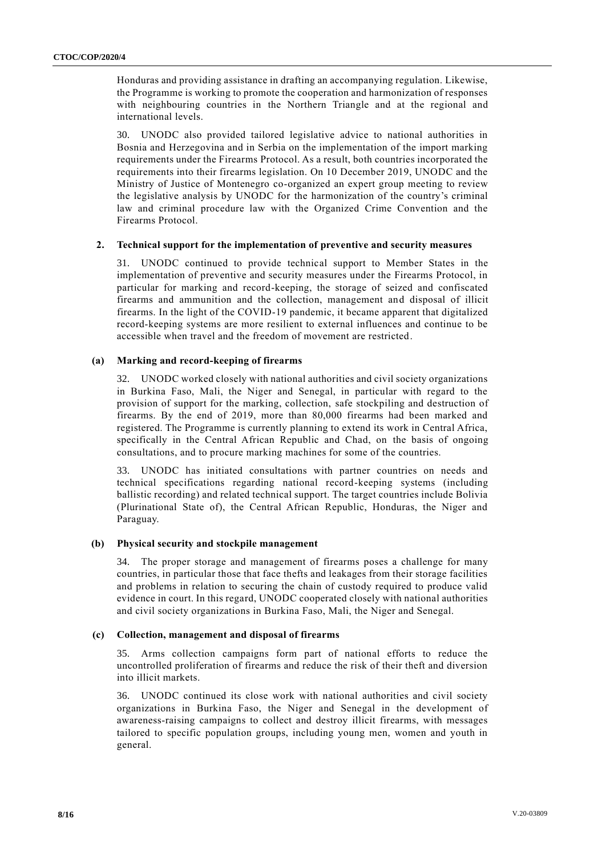Honduras and providing assistance in drafting an accompanying regulation. Likewise, the Programme is working to promote the cooperation and harmonization of responses with neighbouring countries in the Northern Triangle and at the regional and international levels.

30. UNODC also provided tailored legislative advice to national authorities in Bosnia and Herzegovina and in Serbia on the implementation of the import marking requirements under the Firearms Protocol. As a result, both countries incorporated the requirements into their firearms legislation. On 10 December 2019, UNODC and the Ministry of Justice of Montenegro co-organized an expert group meeting to review the legislative analysis by UNODC for the harmonization of the country's criminal law and criminal procedure law with the Organized Crime Convention and the Firearms Protocol.

#### **2. Technical support for the implementation of preventive and security measures**

31. UNODC continued to provide technical support to Member States in the implementation of preventive and security measures under the Firearms Protocol, in particular for marking and record-keeping, the storage of seized and confiscated firearms and ammunition and the collection, management and disposal of illicit firearms. In the light of the COVID-19 pandemic, it became apparent that digitalized record-keeping systems are more resilient to external influences and continue to be accessible when travel and the freedom of movement are restricted.

### **(a) Marking and record-keeping of firearms**

32. UNODC worked closely with national authorities and civil society organizations in Burkina Faso, Mali, the Niger and Senegal, in particular with regard to the provision of support for the marking, collection, safe stockpiling and destruction of firearms. By the end of 2019, more than 80,000 firearms had been marked and registered. The Programme is currently planning to extend its work in Central Africa, specifically in the Central African Republic and Chad, on the basis of ongoing consultations, and to procure marking machines for some of the countries.

33. UNODC has initiated consultations with partner countries on needs and technical specifications regarding national record-keeping systems (including ballistic recording) and related technical support. The target countries include Bolivia (Plurinational State of), the Central African Republic, Honduras, the Niger and Paraguay.

#### **(b) Physical security and stockpile management**

34. The proper storage and management of firearms poses a challenge for many countries, in particular those that face thefts and leakages from their storage facilities and problems in relation to securing the chain of custody required to produce valid evidence in court. In this regard, UNODC cooperated closely with national authorities and civil society organizations in Burkina Faso, Mali, the Niger and Senegal.

#### **(c) Collection, management and disposal of firearms**

35. Arms collection campaigns form part of national efforts to reduce the uncontrolled proliferation of firearms and reduce the risk of their theft and diversion into illicit markets.

36. UNODC continued its close work with national authorities and civil society organizations in Burkina Faso, the Niger and Senegal in the development of awareness-raising campaigns to collect and destroy illicit firearms, with messages tailored to specific population groups, including young men, women and youth in general.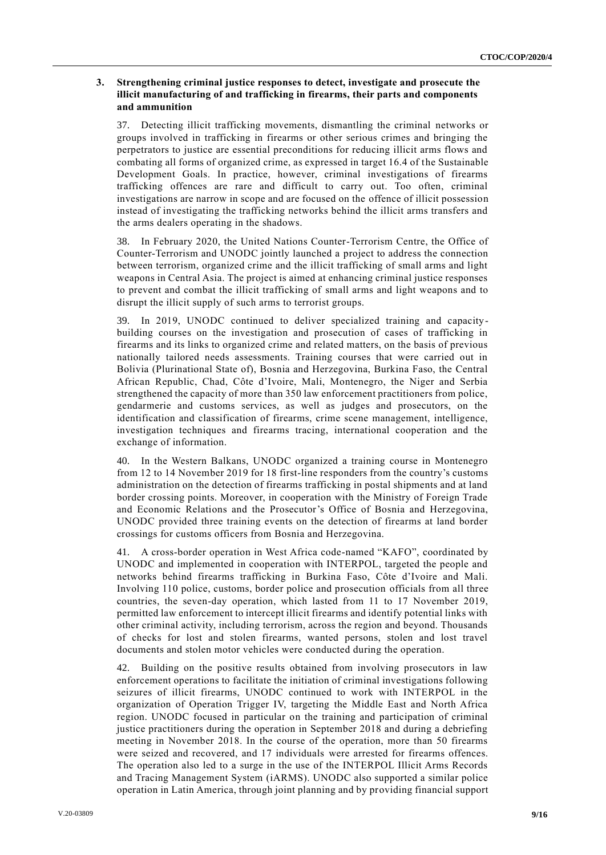### **3. Strengthening criminal justice responses to detect, investigate and prosecute the illicit manufacturing of and trafficking in firearms, their parts and components and ammunition**

37. Detecting illicit trafficking movements, dismantling the criminal networks or groups involved in trafficking in firearms or other serious crimes and bringing the perpetrators to justice are essential preconditions for reducing illicit arms flows and combating all forms of organized crime, as expressed in target 16.4 of the Sustainable Development Goals. In practice, however, criminal investigations of firearms trafficking offences are rare and difficult to carry out. Too often, criminal investigations are narrow in scope and are focused on the offence of illicit possession instead of investigating the trafficking networks behind the illicit arms transfers and the arms dealers operating in the shadows.

38. In February 2020, the United Nations Counter-Terrorism Centre, the Office of Counter-Terrorism and UNODC jointly launched a project to address the connection between terrorism, organized crime and the illicit trafficking of small arms and light weapons in Central Asia. The project is aimed at enhancing criminal justice responses to prevent and combat the illicit trafficking of small arms and light weapons and to disrupt the illicit supply of such arms to terrorist groups.

39. In 2019, UNODC continued to deliver specialized training and capacitybuilding courses on the investigation and prosecution of cases of trafficking in firearms and its links to organized crime and related matters, on the basis of previous nationally tailored needs assessments. Training courses that were carried out in Bolivia (Plurinational State of), Bosnia and Herzegovina, Burkina Faso, the Central African Republic, Chad, Côte d'Ivoire, Mali, Montenegro, the Niger and Serbia strengthened the capacity of more than 350 law enforcement practitioners from police, gendarmerie and customs services, as well as judges and prosecutors, on the identification and classification of firearms, crime scene management, intelligence, investigation techniques and firearms tracing, international cooperation and the exchange of information.

40. In the Western Balkans, UNODC organized a training course in Montenegro from 12 to 14 November 2019 for 18 first-line responders from the country's customs administration on the detection of firearms trafficking in postal shipments and at land border crossing points. Moreover, in cooperation with the Ministry of Foreign Trade and Economic Relations and the Prosecutor's Office of Bosnia and Herzegovina, UNODC provided three training events on the detection of firearms at land border crossings for customs officers from Bosnia and Herzegovina.

41. A cross-border operation in West Africa code-named "KAFO", coordinated by UNODC and implemented in cooperation with INTERPOL, targeted the people and networks behind firearms trafficking in Burkina Faso, Côte d'Ivoire and Mali. Involving 110 police, customs, border police and prosecution officials from all three countries, the seven-day operation, which lasted from 11 to 17 November 2019, permitted law enforcement to intercept illicit firearms and identify potential links with other criminal activity, including terrorism, across the region and beyond. Thousands of checks for lost and stolen firearms, wanted persons, stolen and lost travel documents and stolen motor vehicles were conducted during the operation.

42. Building on the positive results obtained from involving prosecutors in law enforcement operations to facilitate the initiation of criminal investigations following seizures of illicit firearms, UNODC continued to work with INTERPOL in the organization of Operation Trigger IV, targeting the Middle East and North Africa region. UNODC focused in particular on the training and participation of criminal justice practitioners during the operation in September 2018 and during a debriefing meeting in November 2018. In the course of the operation, more than 50 firearms were seized and recovered, and 17 individuals were arrested for firearms offences. The operation also led to a surge in the use of the INTERPOL Illicit Arms Records and Tracing Management System (iARMS). UNODC also supported a similar police operation in Latin America, through joint planning and by providing financial support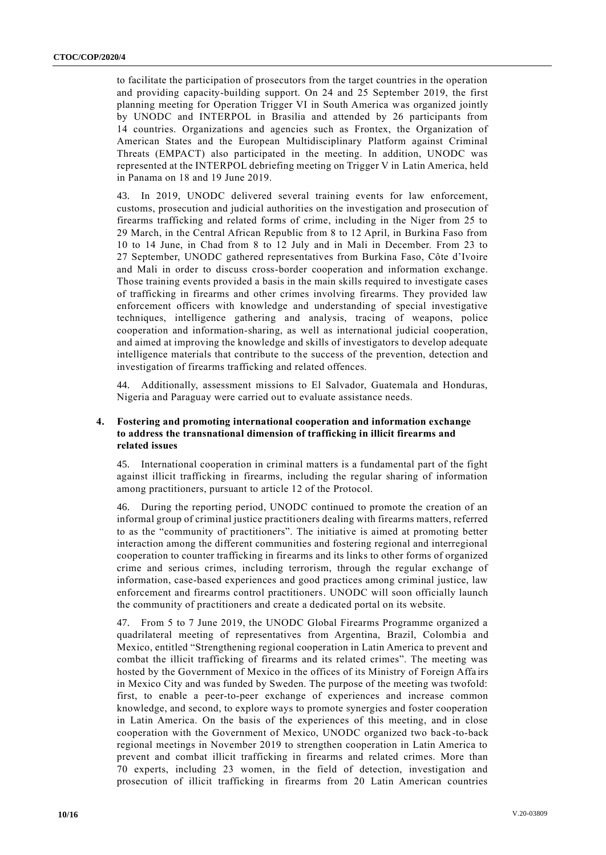to facilitate the participation of prosecutors from the target countries in the operation and providing capacity-building support. On 24 and 25 September 2019, the first planning meeting for Operation Trigger VI in South America was organized jointly by UNODC and INTERPOL in Brasilia and attended by 26 participants from 14 countries. Organizations and agencies such as Frontex, the Organization of American States and the European Multidisciplinary Platform against Criminal Threats (EMPACT) also participated in the meeting. In addition, UNODC was represented at the INTERPOL debriefing meeting on Trigger V in Latin America, held in Panama on 18 and 19 June 2019.

43. In 2019, UNODC delivered several training events for law enforcement, customs, prosecution and judicial authorities on the investigation and prosecution of firearms trafficking and related forms of crime, including in the Niger from 25 to 29 March, in the Central African Republic from 8 to 12 April, in Burkina Faso from 10 to 14 June, in Chad from 8 to 12 July and in Mali in December. From 23 to 27 September, UNODC gathered representatives from Burkina Faso, Côte d'Ivoire and Mali in order to discuss cross-border cooperation and information exchange. Those training events provided a basis in the main skills required to investigate cases of trafficking in firearms and other crimes involving firearms. They provided law enforcement officers with knowledge and understanding of special investigative techniques, intelligence gathering and analysis, tracing of weapons, police cooperation and information-sharing, as well as international judicial cooperation, and aimed at improving the knowledge and skills of investigators to develop adequate intelligence materials that contribute to the success of the prevention, detection and investigation of firearms trafficking and related offences.

44. Additionally, assessment missions to El Salvador, Guatemala and Honduras, Nigeria and Paraguay were carried out to evaluate assistance needs.

## **4. Fostering and promoting international cooperation and information exchange to address the transnational dimension of trafficking in illicit firearms and related issues**

45. International cooperation in criminal matters is a fundamental part of the fight against illicit trafficking in firearms, including the regular sharing of information among practitioners, pursuant to article 12 of the Protocol.

46. During the reporting period, UNODC continued to promote the creation of an informal group of criminal justice practitioners dealing with firearms matters, referred to as the "community of practitioners". The initiative is aimed at promoting better interaction among the different communities and fostering regional and interregional cooperation to counter trafficking in firearms and its links to other forms of organized crime and serious crimes, including terrorism, through the regular exchange of information, case-based experiences and good practices among criminal justice, law enforcement and firearms control practitioners. UNODC will soon officially launch the community of practitioners and create a dedicated portal on its website.

47. From 5 to 7 June 2019, the UNODC Global Firearms Programme organized a quadrilateral meeting of representatives from Argentina, Brazil, Colombia and Mexico, entitled "Strengthening regional cooperation in Latin America to prevent and combat the illicit trafficking of firearms and its related crimes". The meeting was hosted by the Government of Mexico in the offices of its Ministry of Foreign Affa irs in Mexico City and was funded by Sweden. The purpose of the meeting was twofold: first, to enable a peer-to-peer exchange of experiences and increase common knowledge, and second, to explore ways to promote synergies and foster cooperation in Latin America. On the basis of the experiences of this meeting, and in close cooperation with the Government of Mexico, UNODC organized two back-to-back regional meetings in November 2019 to strengthen cooperation in Latin America to prevent and combat illicit trafficking in firearms and related crimes. More than 70 experts, including 23 women, in the field of detection, investigation and prosecution of illicit trafficking in firearms from 20 Latin American countries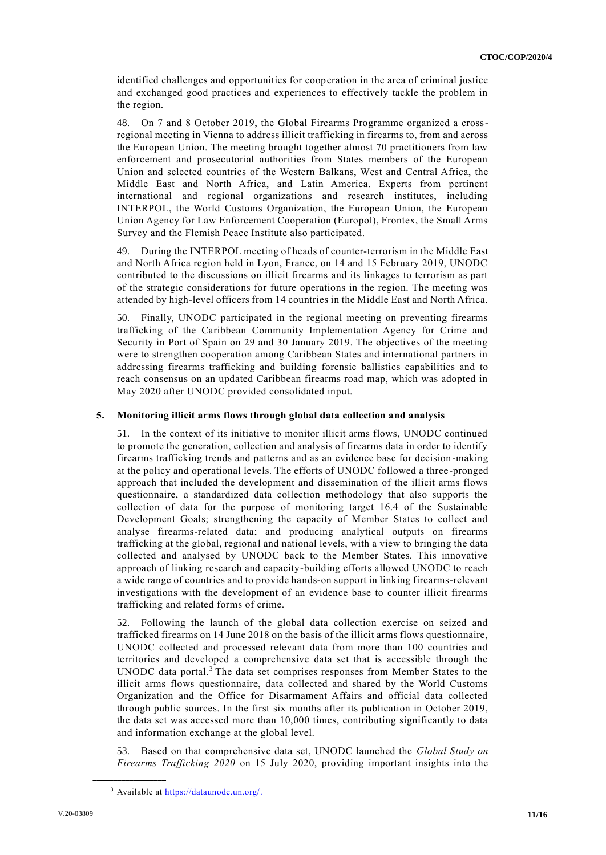identified challenges and opportunities for cooperation in the area of criminal justice and exchanged good practices and experiences to effectively tackle the problem in the region.

48. On 7 and 8 October 2019, the Global Firearms Programme organized a crossregional meeting in Vienna to address illicit trafficking in firearms to, from and across the European Union. The meeting brought together almost 70 practitioners from law enforcement and prosecutorial authorities from States members of the European Union and selected countries of the Western Balkans, West and Central Africa, the Middle East and North Africa, and Latin America. Experts from pertinent international and regional organizations and research institutes, including INTERPOL, the World Customs Organization, the European Union, the European Union Agency for Law Enforcement Cooperation (Europol), Frontex, the Small Arms Survey and the Flemish Peace Institute also participated.

49. During the INTERPOL meeting of heads of counter-terrorism in the Middle East and North Africa region held in Lyon, France, on 14 and 15 February 2019, UNODC contributed to the discussions on illicit firearms and its linkages to terrorism as part of the strategic considerations for future operations in the region. The meeting was attended by high-level officers from 14 countries in the Middle East and North Africa.

50. Finally, UNODC participated in the regional meeting on preventing firearms trafficking of the Caribbean Community Implementation Agency for Crime and Security in Port of Spain on 29 and 30 January 2019. The objectives of the meeting were to strengthen cooperation among Caribbean States and international partners in addressing firearms trafficking and building forensic ballistics capabilities and to reach consensus on an updated Caribbean firearms road map, which was adopted in May 2020 after UNODC provided consolidated input.

# **5. Monitoring illicit arms flows through global data collection and analysis**

51. In the context of its initiative to monitor illicit arms flows, UNODC continued to promote the generation, collection and analysis of firearms data in order to identify firearms trafficking trends and patterns and as an evidence base for decision-making at the policy and operational levels. The efforts of UNODC followed a three-pronged approach that included the development and dissemination of the illicit arms flows questionnaire, a standardized data collection methodology that also supports the collection of data for the purpose of monitoring target 16.4 of the Sustainable Development Goals; strengthening the capacity of Member States to collect and analyse firearms-related data; and producing analytical outputs on firearms trafficking at the global, regional and national levels, with a view to bringing the data collected and analysed by UNODC back to the Member States. This innovative approach of linking research and capacity-building efforts allowed UNODC to reach a wide range of countries and to provide hands-on support in linking firearms-relevant investigations with the development of an evidence base to counter illicit firearms trafficking and related forms of crime.

52. Following the launch of the global data collection exercise on seized and trafficked firearms on 14 June 2018 on the basis of the illicit arms flows questionnaire, UNODC collected and processed relevant data from more than 100 countries and territories and developed a comprehensive data set that is accessible through the UNODC data portal.<sup>3</sup> The data set comprises responses from Member States to the illicit arms flows questionnaire, data collected and shared by the World Customs Organization and the Office for Disarmament Affairs and official data collected through public sources. In the first six months after its publication in October 2019, the data set was accessed more than 10,000 times, contributing significantly to data and information exchange at the global level.

53. Based on that comprehensive data set, UNODC launched the *Global Study on Firearms Trafficking 2020* on 15 July 2020, providing important insights into the

**\_\_\_\_\_\_\_\_\_\_\_\_\_\_\_\_\_\_**

<sup>3</sup> Available at [https://dataunodc.un.org/.](http://undocs.org/https:/dataunodc.un.org/)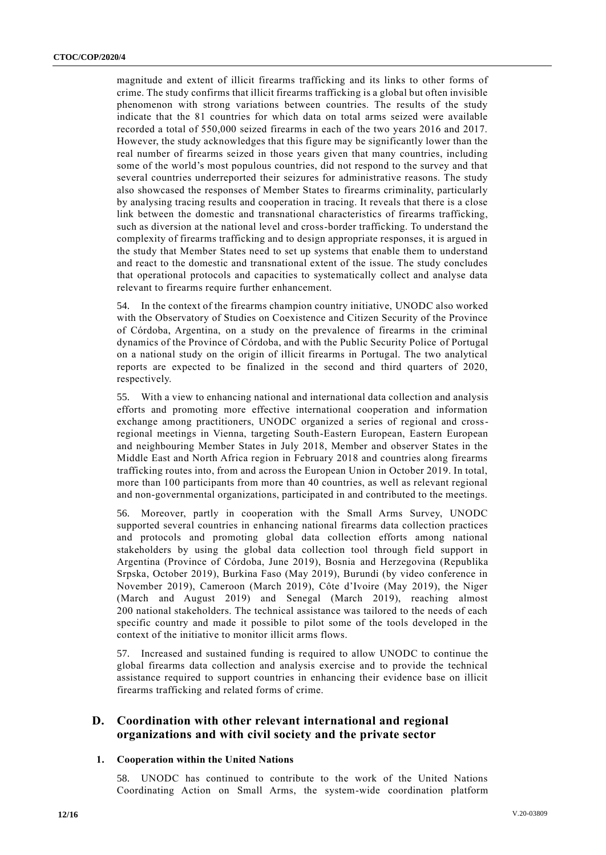magnitude and extent of illicit firearms trafficking and its links to other forms of crime. The study confirms that illicit firearms trafficking is a global but often invisible phenomenon with strong variations between countries. The results of the study indicate that the 81 countries for which data on total arms seized were available recorded a total of 550,000 seized firearms in each of the two years 2016 and 2017. However, the study acknowledges that this figure may be significantly lower than the real number of firearms seized in those years given that many countries, including some of the world's most populous countries, did not respond to the survey and that several countries underreported their seizures for administrative reasons. The study also showcased the responses of Member States to firearms criminality, particularly by analysing tracing results and cooperation in tracing. It reveals that there is a close link between the domestic and transnational characteristics of firearms trafficking, such as diversion at the national level and cross-border trafficking. To understand the complexity of firearms trafficking and to design appropriate responses, it is argued in the study that Member States need to set up systems that enable them to understand and react to the domestic and transnational extent of the issue. The study concludes that operational protocols and capacities to systematically collect and analyse data relevant to firearms require further enhancement.

54. In the context of the firearms champion country initiative, UNODC also worked with the Observatory of Studies on Coexistence and Citizen Security of the Province of Córdoba, Argentina, on a study on the prevalence of firearms in the criminal dynamics of the Province of Córdoba, and with the Public Security Police of Portugal on a national study on the origin of illicit firearms in Portugal. The two analytical reports are expected to be finalized in the second and third quarters of 2020, respectively.

55. With a view to enhancing national and international data collection and analysis efforts and promoting more effective international cooperation and information exchange among practitioners, UNODC organized a series of regional and crossregional meetings in Vienna, targeting South-Eastern European, Eastern European and neighbouring Member States in July 2018, Member and observer States in the Middle East and North Africa region in February 2018 and countries along firearms trafficking routes into, from and across the European Union in October 2019. In total, more than 100 participants from more than 40 countries, as well as relevant regional and non-governmental organizations, participated in and contributed to the meetings.

56. Moreover, partly in cooperation with the Small Arms Survey, UNODC supported several countries in enhancing national firearms data collection practices and protocols and promoting global data collection efforts among national stakeholders by using the global data collection tool through field support in Argentina (Province of Córdoba, June 2019), Bosnia and Herzegovina (Republika Srpska, October 2019), Burkina Faso (May 2019), Burundi (by video conference in November 2019), Cameroon (March 2019), Côte d'Ivoire (May 2019), the Niger (March and August 2019) and Senegal (March 2019), reaching almost 200 national stakeholders. The technical assistance was tailored to the needs of each specific country and made it possible to pilot some of the tools developed in the context of the initiative to monitor illicit arms flows.

57. Increased and sustained funding is required to allow UNODC to continue the global firearms data collection and analysis exercise and to provide the technical assistance required to support countries in enhancing their evidence base on illicit firearms trafficking and related forms of crime.

# **D. Coordination with other relevant international and regional organizations and with civil society and the private sector**

## **1. Cooperation within the United Nations**

58. UNODC has continued to contribute to the work of the United Nations Coordinating Action on Small Arms, the system-wide coordination platform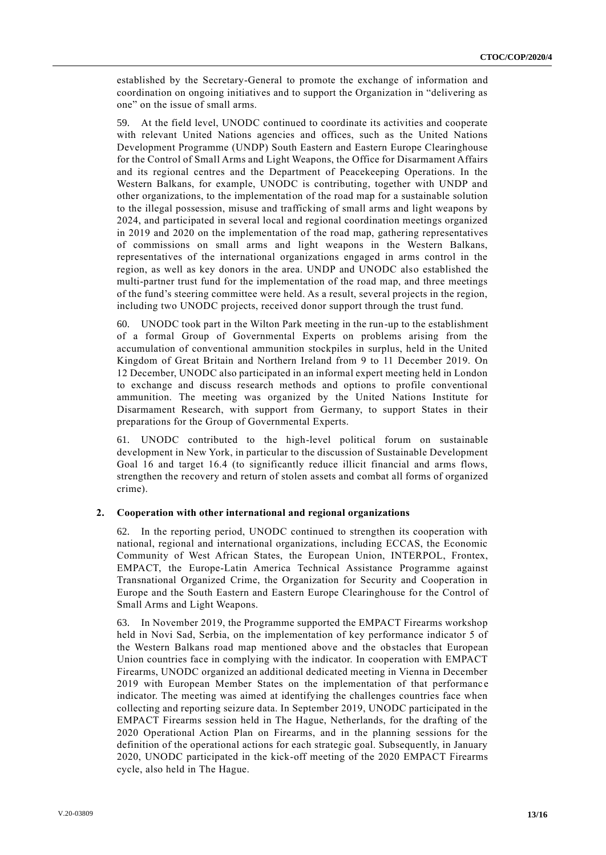established by the Secretary-General to promote the exchange of information and coordination on ongoing initiatives and to support the Organization in "delivering as one" on the issue of small arms.

59. At the field level, UNODC continued to coordinate its activities and cooperate with relevant United Nations agencies and offices, such as the United Nations Development Programme (UNDP) South Eastern and Eastern Europe Clearinghouse for the Control of Small Arms and Light Weapons, the Office for Disarmament Affairs and its regional centres and the Department of Peacekeeping Operations. In the Western Balkans, for example, UNODC is contributing, together with UNDP and other organizations, to the implementation of the road map for a sustainable solution to the illegal possession, misuse and trafficking of small arms and light weapons by 2024, and participated in several local and regional coordination meetings organized in 2019 and 2020 on the implementation of the road map, gathering representatives of commissions on small arms and light weapons in the Western Balkans, representatives of the international organizations engaged in arms control in the region, as well as key donors in the area. UNDP and UNODC also established the multi-partner trust fund for the implementation of the road map, and three meetings of the fund's steering committee were held. As a result, several projects in the region, including two UNODC projects, received donor support through the trust fund.

60. UNODC took part in the Wilton Park meeting in the run-up to the establishment of a formal Group of Governmental Experts on problems arising from the accumulation of conventional ammunition stockpiles in surplus, held in the United Kingdom of Great Britain and Northern Ireland from 9 to 11 December 2019. On 12 December, UNODC also participated in an informal expert meeting held in London to exchange and discuss research methods and options to profile conventional ammunition. The meeting was organized by the United Nations Institute for Disarmament Research, with support from Germany, to support States in their preparations for the Group of Governmental Experts.

61. UNODC contributed to the high-level political forum on sustainable development in New York, in particular to the discussion of Sustainable Development Goal 16 and target 16.4 (to significantly reduce illicit financial and arms flows, strengthen the recovery and return of stolen assets and combat all forms of organized crime).

#### **2. Cooperation with other international and regional organizations**

62. In the reporting period, UNODC continued to strengthen its cooperation with national, regional and international organizations, including ECCAS, the Economic Community of West African States, the European Union, INTERPOL, Frontex, EMPACT, the Europe-Latin America Technical Assistance Programme against Transnational Organized Crime, the Organization for Security and Cooperation in Europe and the South Eastern and Eastern Europe Clearinghouse for the Control of Small Arms and Light Weapons.

63. In November 2019, the Programme supported the EMPACT Firearms workshop held in Novi Sad, Serbia, on the implementation of key performance indicator 5 of the Western Balkans road map mentioned above and the obstacles that European Union countries face in complying with the indicator. In cooperation with EMPACT Firearms, UNODC organized an additional dedicated meeting in Vienna in December 2019 with European Member States on the implementation of that performance indicator. The meeting was aimed at identifying the challenges countries face when collecting and reporting seizure data. In September 2019, UNODC participated in the EMPACT Firearms session held in The Hague, Netherlands, for the drafting of the 2020 Operational Action Plan on Firearms, and in the planning sessions for the definition of the operational actions for each strategic goal. Subsequently, in January 2020, UNODC participated in the kick-off meeting of the 2020 EMPACT Firearms cycle, also held in The Hague.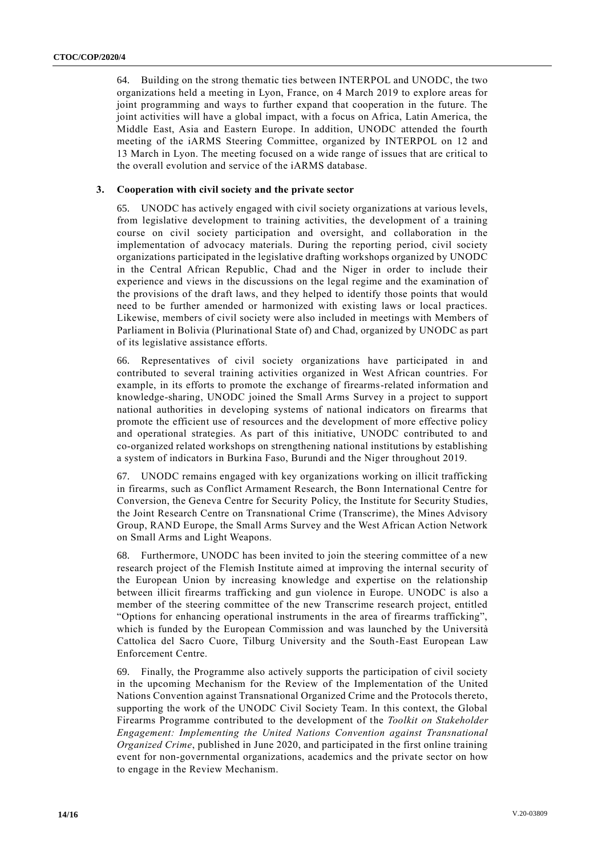64. Building on the strong thematic ties between INTERPOL and UNODC, the two organizations held a meeting in Lyon, France, on 4 March 2019 to explore areas for joint programming and ways to further expand that cooperation in the future. The joint activities will have a global impact, with a focus on Africa, Latin America, the Middle East, Asia and Eastern Europe. In addition, UNODC attended the fourth meeting of the iARMS Steering Committee, organized by INTERPOL on 12 and 13 March in Lyon. The meeting focused on a wide range of issues that are critical to the overall evolution and service of the iARMS database.

#### **3. Cooperation with civil society and the private sector**

65. UNODC has actively engaged with civil society organizations at various levels, from legislative development to training activities, the development of a training course on civil society participation and oversight, and collaboration in the implementation of advocacy materials. During the reporting period, civil society organizations participated in the legislative drafting workshops organized by UNODC in the Central African Republic, Chad and the Niger in order to include their experience and views in the discussions on the legal regime and the examination of the provisions of the draft laws, and they helped to identify those points that would need to be further amended or harmonized with existing laws or local practices. Likewise, members of civil society were also included in meetings with Members of Parliament in Bolivia (Plurinational State of) and Chad, organized by UNODC as part of its legislative assistance efforts.

66. Representatives of civil society organizations have participated in and contributed to several training activities organized in West African countries. For example, in its efforts to promote the exchange of firearms-related information and knowledge-sharing, UNODC joined the Small Arms Survey in a project to support national authorities in developing systems of national indicators on firearms that promote the efficient use of resources and the development of more effective policy and operational strategies. As part of this initiative, UNODC contributed to and co-organized related workshops on strengthening national institutions by establishing a system of indicators in Burkina Faso, Burundi and the Niger throughout 2019.

67. UNODC remains engaged with key organizations working on illicit trafficking in firearms, such as Conflict Armament Research, the Bonn International Centre for Conversion, the Geneva Centre for Security Policy, the Institute for Security Studies, the Joint Research Centre on Transnational Crime (Transcrime), the Mines Advisory Group, RAND Europe, the Small Arms Survey and the West African Action Network on Small Arms and Light Weapons.

68. Furthermore, UNODC has been invited to join the steering committee of a new research project of the Flemish Institute aimed at improving the internal security of the European Union by increasing knowledge and expertise on the relationship between illicit firearms trafficking and gun violence in Europe. UNODC is also a member of the steering committee of the new Transcrime research project, entitled "Options for enhancing operational instruments in the area of firearms trafficking", which is funded by the European Commission and was launched by the Università Cattolica del Sacro Cuore, Tilburg University and the South-East European Law Enforcement Centre.

69. Finally, the Programme also actively supports the participation of civil society in the upcoming Mechanism for the Review of the Implementation of the United Nations Convention against Transnational Organized Crime and the Protocols thereto, supporting the work of the UNODC Civil Society Team. In this context, the Global Firearms Programme contributed to the development of the *Toolkit on Stakeholder Engagement: Implementing the United Nations Convention against Transnational Organized Crime*, published in June 2020, and participated in the first online training event for non-governmental organizations, academics and the private sector on how to engage in the Review Mechanism.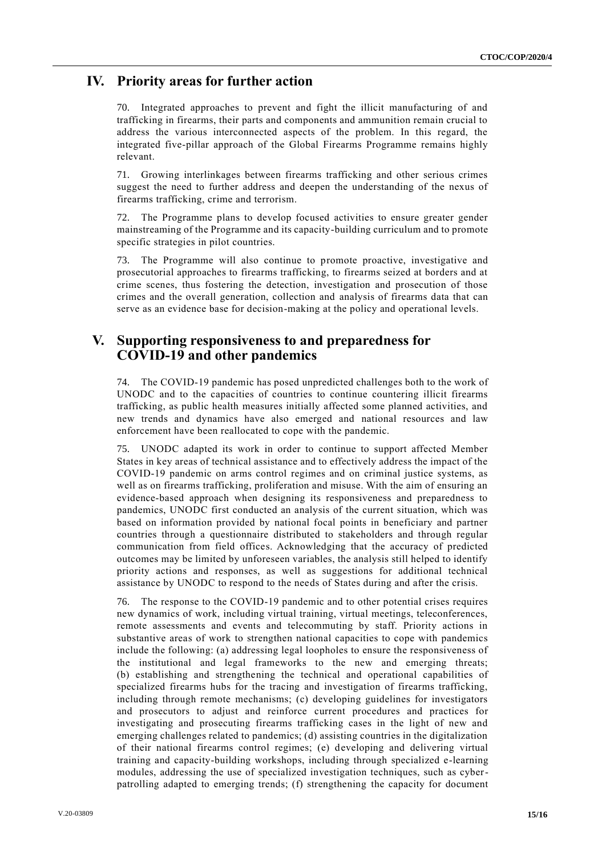# **IV. Priority areas for further action**

70. Integrated approaches to prevent and fight the illicit manufacturing of and trafficking in firearms, their parts and components and ammunition remain crucial to address the various interconnected aspects of the problem. In this regard, the integrated five-pillar approach of the Global Firearms Programme remains highly relevant.

71. Growing interlinkages between firearms trafficking and other serious crimes suggest the need to further address and deepen the understanding of the nexus of firearms trafficking, crime and terrorism.

72. The Programme plans to develop focused activities to ensure greater gender mainstreaming of the Programme and its capacity-building curriculum and to promote specific strategies in pilot countries.

73. The Programme will also continue to promote proactive, investigative and prosecutorial approaches to firearms trafficking, to firearms seized at borders and at crime scenes, thus fostering the detection, investigation and prosecution of those crimes and the overall generation, collection and analysis of firearms data that can serve as an evidence base for decision-making at the policy and operational levels.

# **V. Supporting responsiveness to and preparedness for COVID-19 and other pandemics**

74. The COVID-19 pandemic has posed unpredicted challenges both to the work of UNODC and to the capacities of countries to continue countering illicit firearms trafficking, as public health measures initially affected some planned activities, and new trends and dynamics have also emerged and national resources and law enforcement have been reallocated to cope with the pandemic.

75. UNODC adapted its work in order to continue to support affected Member States in key areas of technical assistance and to effectively address the impact of the COVID-19 pandemic on arms control regimes and on criminal justice systems, as well as on firearms trafficking, proliferation and misuse. With the aim of ensuring an evidence-based approach when designing its responsiveness and preparedness to pandemics, UNODC first conducted an analysis of the current situation, which was based on information provided by national focal points in beneficiary and partner countries through a questionnaire distributed to stakeholders and through regular communication from field offices. Acknowledging that the accuracy of predicted outcomes may be limited by unforeseen variables, the analysis still helped to identify priority actions and responses, as well as suggestions for additional technical assistance by UNODC to respond to the needs of States during and after the crisis.

76. The response to the COVID-19 pandemic and to other potential crises requires new dynamics of work, including virtual training, virtual meetings, teleconferences, remote assessments and events and telecommuting by staff. Priority actions in substantive areas of work to strengthen national capacities to cope with pandemics include the following: (a) addressing legal loopholes to ensure the responsiveness of the institutional and legal frameworks to the new and emerging threats; (b) establishing and strengthening the technical and operational capabilities of specialized firearms hubs for the tracing and investigation of firearms trafficking, including through remote mechanisms; (c) developing guidelines for investigators and prosecutors to adjust and reinforce current procedures and practices for investigating and prosecuting firearms trafficking cases in the light of new and emerging challenges related to pandemics; (d) assisting countries in the digitalization of their national firearms control regimes; (e) developing and delivering virtual training and capacity-building workshops, including through specialized e-learning modules, addressing the use of specialized investigation techniques, such as cyberpatrolling adapted to emerging trends; (f) strengthening the capacity for document